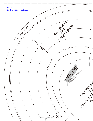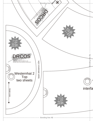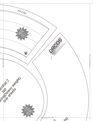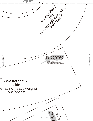